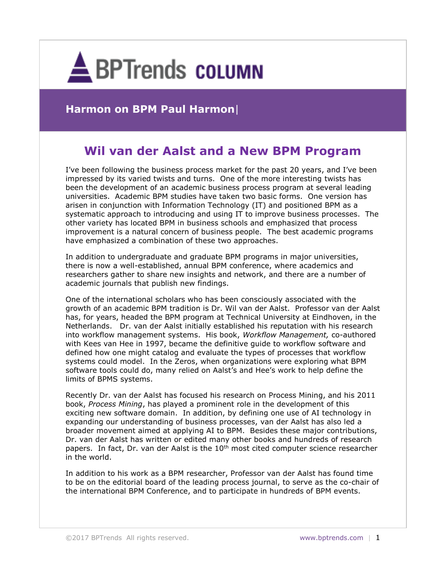

## **Harmon on BPM Paul Harmon**|

# **Wil van der Aalst and a New BPM Program**

I've been following the business process market for the past 20 years, and I've been impressed by its varied twists and turns. One of the more interesting twists has been the development of an academic business process program at several leading universities. Academic BPM studies have taken two basic forms. One version has arisen in conjunction with Information Technology (IT) and positioned BPM as a systematic approach to introducing and using IT to improve business processes. The other variety has located BPM in business schools and emphasized that process improvement is a natural concern of business people. The best academic programs have emphasized a combination of these two approaches.

In addition to undergraduate and graduate BPM programs in major universities, there is now a well-established, annual BPM conference, where academics and researchers gather to share new insights and network, and there are a number of academic journals that publish new findings.

One of the international scholars who has been consciously associated with the growth of an academic BPM tradition is Dr. Wil van der Aalst. Professor van der Aalst has, for years, headed the BPM program at Technical University at Eindhoven, in the Netherlands. Dr. van der Aalst initially established his reputation with his research into workflow management systems. His book, *Workflow Management,* co-authored with Kees van Hee in 1997, became the definitive guide to workflow software and defined how one might catalog and evaluate the types of processes that workflow systems could model. In the Zeros, when organizations were exploring what BPM software tools could do, many relied on Aalst's and Hee's work to help define the limits of BPMS systems.

Recently Dr. van der Aalst has focused his research on Process Mining, and his 2011 book, *Process Mining*, has played a prominent role in the development of this exciting new software domain. In addition, by defining one use of AI technology in expanding our understanding of business processes, van der Aalst has also led a broader movement aimed at applying AI to BPM. Besides these major contributions, Dr. van der Aalst has written or edited many other books and hundreds of research papers. In fact, Dr. van der Aalst is the  $10<sup>th</sup>$  most cited computer science researcher in the world.

In addition to his work as a BPM researcher, Professor van der Aalst has found time to be on the editorial board of the leading process journal, to serve as the co-chair of the international BPM Conference, and to participate in hundreds of BPM events.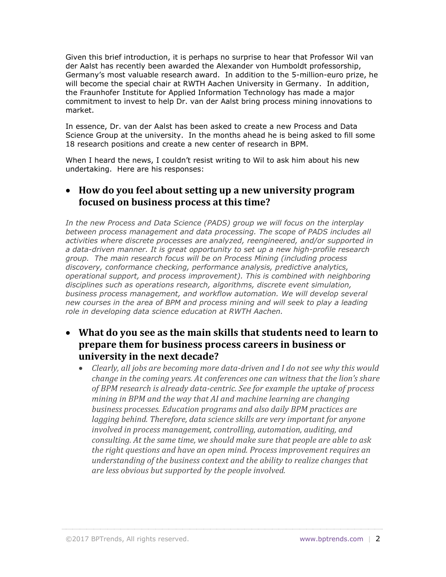Given this brief introduction, it is perhaps no surprise to hear that Professor Wil van der Aalst has recently been awarded the Alexander von Humboldt professorship, Germany's most valuable research award. In addition to the 5-million-euro prize, he will become the special chair at RWTH Aachen University in Germany. In addition, the Fraunhofer Institute for Applied Information Technology has made a major commitment to invest to help Dr. van der Aalst bring process mining innovations to market.

In essence, Dr. van der Aalst has been asked to create a new Process and Data Science Group at the university. In the months ahead he is being asked to fill some 18 research positions and create a new center of research in BPM.

When I heard the news, I couldn't resist writing to Wil to ask him about his new undertaking. Here are his responses:

#### **How do you feel about setting up a new university program focused on business process at this time?**

*In the new Process and Data Science (PADS) group we will focus on the interplay between process management and data processing. The scope of PADS includes all activities where discrete processes are analyzed, reengineered, and/or supported in a data-driven manner. It is great opportunity to set up a new high-profile research group. The main research focus will be on Process Mining (including process discovery, conformance checking, performance analysis, predictive analytics, operational support, and process improvement). This is combined with neighboring disciplines such as operations research, algorithms, discrete event simulation, business process management, and workflow automation. We will develop several new courses in the area of BPM and process mining and will seek to play a leading role in developing data science education at RWTH Aachen.*

#### **What do you see as the main skills that students need to learn to prepare them for business process careers in business or university in the next decade?**

 *Clearly, all jobs are becoming more data-driven and I do not see why this would change in the coming years. At conferences one can witness that the lion's share of BPM research is already data-centric. See for example the uptake of process mining in BPM and the way that AI and machine learning are changing business processes. Education programs and also daily BPM practices are lagging behind. Therefore, data science skills are very important for anyone involved in process management, controlling, automation, auditing, and consulting. At the same time, we should make sure that people are able to ask the right questions and have an open mind. Process improvement requires an understanding of the business context and the ability to realize changes that are less obvious but supported by the people involved.*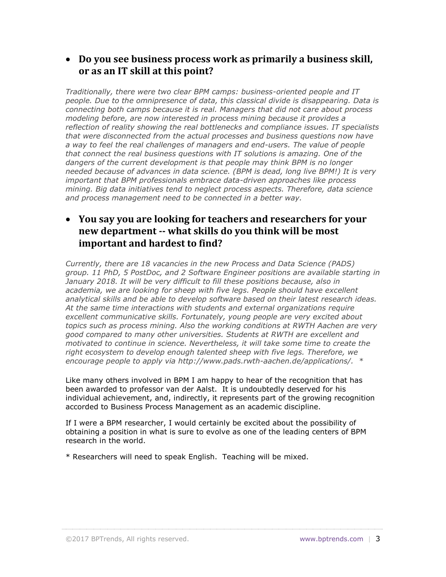#### **Do you see business process work as primarily a business skill, or as an IT skill at this point?**

*Traditionally, there were two clear BPM camps: business-oriented people and IT people. Due to the omnipresence of data, this classical divide is disappearing. Data is connecting both camps because it is real. Managers that did not care about process modeling before, are now interested in process mining because it provides a reflection of reality showing the real bottlenecks and compliance issues. IT specialists that were disconnected from the actual processes and business questions now have a way to feel the real challenges of managers and end-users. The value of people that connect the real business questions with IT solutions is amazing. One of the dangers of the current development is that people may think BPM is no longer needed because of advances in data science. (BPM is dead, long live BPM!) It is very important that BPM professionals embrace data-driven approaches like process mining. Big data initiatives tend to neglect process aspects. Therefore, data science and process management need to be connected in a better way.* 

#### **You say you are looking for teachers and researchers for your new department -- what skills do you think will be most important and hardest to find?**

*Currently, there are 18 vacancies in the new Process and Data Science (PADS) group. 11 PhD, 5 PostDoc, and 2 Software Engineer positions are available starting in* January 2018. It will be very difficult to fill these positions because, also in *academia, we are looking for sheep with five legs. People should have excellent analytical skills and be able to develop software based on their latest research ideas. At the same time interactions with students and external organizations require excellent communicative skills. Fortunately, young people are very excited about topics such as process mining. Also the working conditions at RWTH Aachen are very good compared to many other universities. Students at RWTH are excellent and motivated to continue in science. Nevertheless, it will take some time to create the right ecosystem to develop enough talented sheep with five legs. Therefore, we encourage people to apply via [http://www.pads.rwth-aachen.de/applications/.](http://www.pads.rwth-aachen.de/applications/) \**

Like many others involved in BPM I am happy to hear of the recognition that has been awarded to professor van der Aalst. It is undoubtedly deserved for his individual achievement, and, indirectly, it represents part of the growing recognition accorded to Business Process Management as an academic discipline.

If I were a BPM researcher, I would certainly be excited about the possibility of obtaining a position in what is sure to evolve as one of the leading centers of BPM research in the world.

\* Researchers will need to speak English. Teaching will be mixed.